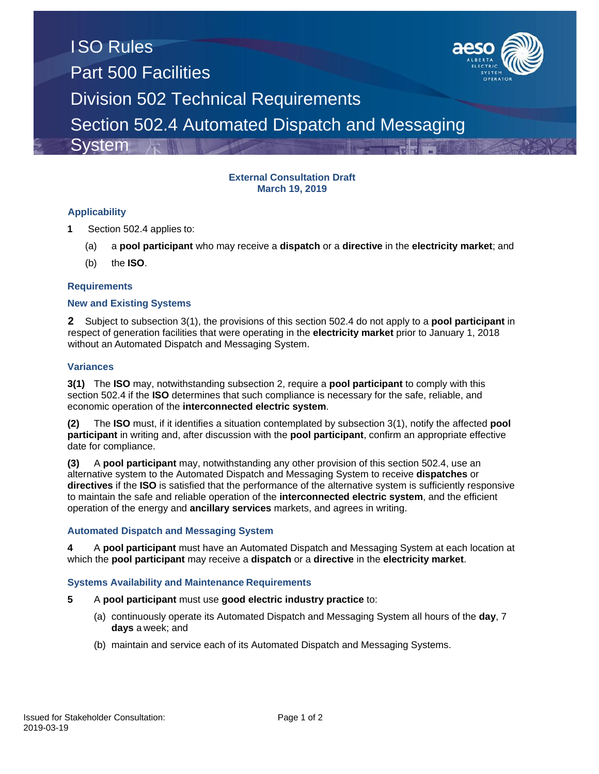

#### **External Consultation Draft March 19, 2019**

### **Applicability**

- **1** Section 502.4 applies to:
	- (a) a **pool participant** who may receive a **dispatch** or a **directive** in the **electricity market**; and
	- (b) the **ISO**.

#### **Requirements**

#### **New and Existing Systems**

**2** Subject to subsection 3(1), the provisions of this section 502.4 do not apply to a **pool participant** in respect of generation facilities that were operating in the **electricity market** prior to January 1, 2018 without an Automated Dispatch and Messaging System.

#### **Variances**

**3(1)** The **ISO** may, notwithstanding subsection 2, require a **pool participant** to comply with this section 502.4 if the **ISO** determines that such compliance is necessary for the safe, reliable, and economic operation of the **interconnected electric system**.

**(2)** The **ISO** must, if it identifies a situation contemplated by subsection 3(1), notify the affected **pool participant** in writing and, after discussion with the **pool participant**, confirm an appropriate effective date for compliance.

**(3)** A **pool participant** may, notwithstanding any other provision of this section 502.4, use an alternative system to the Automated Dispatch and Messaging System to receive **dispatches** or **directives** if the **ISO** is satisfied that the performance of the alternative system is sufficiently responsive to maintain the safe and reliable operation of the **interconnected electric system**, and the efficient operation of the energy and **ancillary services** markets, and agrees in writing.

#### **Automated Dispatch and Messaging System**

**4** A **pool participant** must have an Automated Dispatch and Messaging System at each location at which the **pool participant** may receive a **dispatch** or a **directive** in the **electricity market**.

#### **Systems Availability and Maintenance Requirements**

- **5** A **pool participant** must use **good electric industry practice** to:
	- (a) continuously operate its Automated Dispatch and Messaging System all hours of the **day**, 7 **days** a week; and
	- (b) maintain and service each of its Automated Dispatch and Messaging Systems.